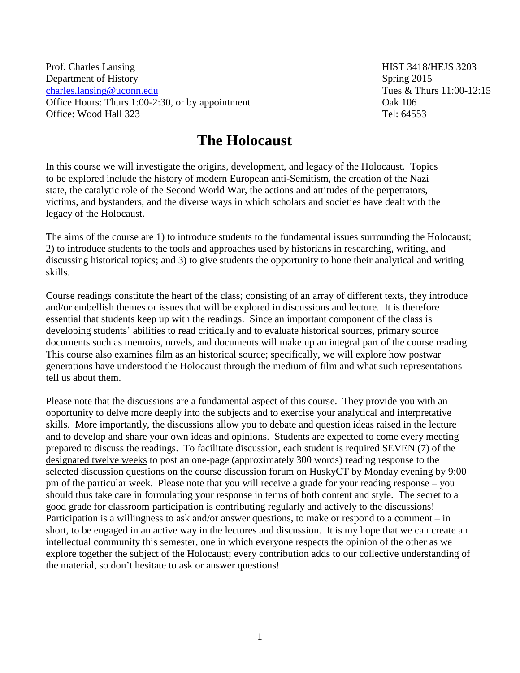Prof. Charles Lansing HIST 3418/HEJS 3203 Department of History<br>
Charles.lansing@uconn.edu<br>
Tues & Thurs 11:00-12:15 [charles.lansing@uconn.edu](mailto:charles.lansing@uconn.edu) Office Hours: Thurs 1:00-2:30, or by appointment Oak 106 Office: Wood Hall 323 Tel: 64553

## **The Holocaust**

In this course we will investigate the origins, development, and legacy of the Holocaust. Topics to be explored include the history of modern European anti-Semitism, the creation of the Nazi state, the catalytic role of the Second World War, the actions and attitudes of the perpetrators, victims, and bystanders, and the diverse ways in which scholars and societies have dealt with the legacy of the Holocaust.

The aims of the course are 1) to introduce students to the fundamental issues surrounding the Holocaust; 2) to introduce students to the tools and approaches used by historians in researching, writing, and discussing historical topics; and 3) to give students the opportunity to hone their analytical and writing skills.

Course readings constitute the heart of the class; consisting of an array of different texts, they introduce and/or embellish themes or issues that will be explored in discussions and lecture. It is therefore essential that students keep up with the readings. Since an important component of the class is developing students' abilities to read critically and to evaluate historical sources, primary source documents such as memoirs, novels, and documents will make up an integral part of the course reading. This course also examines film as an historical source; specifically, we will explore how postwar generations have understood the Holocaust through the medium of film and what such representations tell us about them.

Please note that the discussions are a fundamental aspect of this course. They provide you with an opportunity to delve more deeply into the subjects and to exercise your analytical and interpretative skills. More importantly, the discussions allow you to debate and question ideas raised in the lecture and to develop and share your own ideas and opinions. Students are expected to come every meeting prepared to discuss the readings. To facilitate discussion, each student is required SEVEN (7) of the designated twelve weeks to post an one-page (approximately 300 words) reading response to the selected discussion questions on the course discussion forum on HuskyCT by Monday evening by 9:00 pm of the particular week. Please note that you will receive a grade for your reading response – you should thus take care in formulating your response in terms of both content and style. The secret to a good grade for classroom participation is contributing regularly and actively to the discussions! Participation is a willingness to ask and/or answer questions, to make or respond to a comment – in short, to be engaged in an active way in the lectures and discussion. It is my hope that we can create an intellectual community this semester, one in which everyone respects the opinion of the other as we explore together the subject of the Holocaust; every contribution adds to our collective understanding of the material, so don't hesitate to ask or answer questions!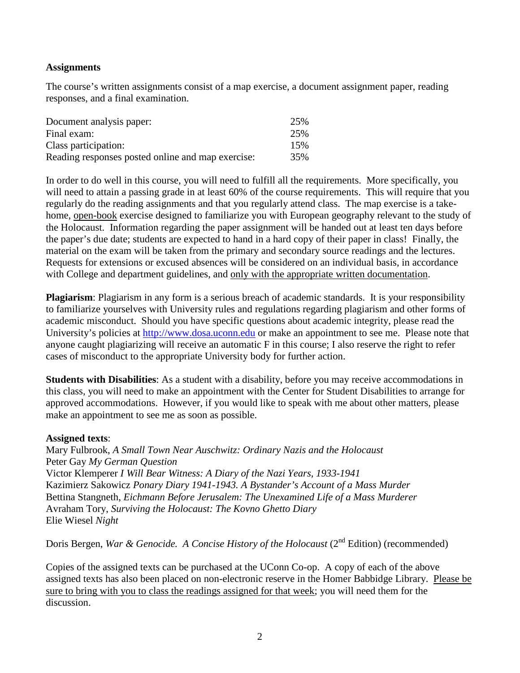## **Assignments**

The course's written assignments consist of a map exercise, a document assignment paper, reading responses, and a final examination.

| Document analysis paper:                          | 25% |
|---------------------------------------------------|-----|
| Final exam:                                       | 25% |
| Class participation:                              | 15% |
| Reading responses posted online and map exercise: | 35% |

In order to do well in this course, you will need to fulfill all the requirements. More specifically, you will need to attain a passing grade in at least 60% of the course requirements. This will require that you regularly do the reading assignments and that you regularly attend class. The map exercise is a takehome, open-book exercise designed to familiarize you with European geography relevant to the study of the Holocaust. Information regarding the paper assignment will be handed out at least ten days before the paper's due date; students are expected to hand in a hard copy of their paper in class! Finally, the material on the exam will be taken from the primary and secondary source readings and the lectures. Requests for extensions or excused absences will be considered on an individual basis, in accordance with College and department guidelines, and only with the appropriate written documentation.

**Plagiarism**: Plagiarism in any form is a serious breach of academic standards. It is your responsibility to familiarize yourselves with University rules and regulations regarding plagiarism and other forms of academic misconduct. Should you have specific questions about academic integrity, please read the University's policies at [http://www.dosa.uconn.edu](http://www.dosa.uconn.edu/) or make an appointment to see me. Please note that anyone caught plagiarizing will receive an automatic F in this course; I also reserve the right to refer cases of misconduct to the appropriate University body for further action.

**Students with Disabilities**: As a student with a disability, before you may receive accommodations in this class, you will need to make an appointment with the Center for Student Disabilities to arrange for approved accommodations. However, if you would like to speak with me about other matters, please make an appointment to see me as soon as possible.

## **Assigned texts**:

Mary Fulbrook, *A Small Town Near Auschwitz: Ordinary Nazis and the Holocaust* Peter Gay *My German Question* Victor Klemperer *I Will Bear Witness: A Diary of the Nazi Years, 1933-1941* Kazimierz Sakowicz *Ponary Diary 1941-1943. A Bystander's Account of a Mass Murder* Bettina Stangneth, *Eichmann Before Jerusalem: The Unexamined Life of a Mass Murderer* Avraham Tory, *Surviving the Holocaust: The Kovno Ghetto Diary* Elie Wiesel *Night*

Doris Bergen, *War & Genocide. A Concise History of the Holocaust* (2<sup>nd</sup> Edition) (recommended)

Copies of the assigned texts can be purchased at the UConn Co-op. A copy of each of the above assigned texts has also been placed on non-electronic reserve in the Homer Babbidge Library. Please be sure to bring with you to class the readings assigned for that week; you will need them for the discussion.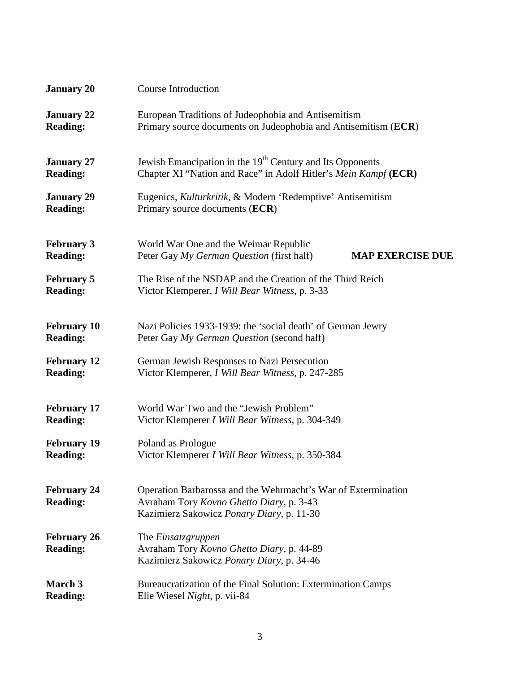| <b>January 20</b>                     | <b>Course Introduction</b>                                                                                                                             |  |
|---------------------------------------|--------------------------------------------------------------------------------------------------------------------------------------------------------|--|
| <b>January 22</b>                     | European Traditions of Judeophobia and Antisemitism                                                                                                    |  |
| <b>Reading:</b>                       | Primary source documents on Judeophobia and Antisemitism (ECR)                                                                                         |  |
| <b>January 27</b>                     | Jewish Emancipation in the 19 <sup>th</sup> Century and Its Opponents                                                                                  |  |
| <b>Reading:</b>                       | Chapter XI "Nation and Race" in Adolf Hitler's Mein Kampf (ECR)                                                                                        |  |
| <b>January 29</b>                     | Eugenics, Kulturkritik, & Modern 'Redemptive' Antisemitism                                                                                             |  |
| <b>Reading:</b>                       | Primary source documents (ECR)                                                                                                                         |  |
| <b>February 3</b><br><b>Reading:</b>  | World War One and the Weimar Republic<br>Peter Gay My German Question (first half)<br><b>MAP EXERCISE DUE</b>                                          |  |
| <b>February 5</b>                     | The Rise of the NSDAP and the Creation of the Third Reich                                                                                              |  |
| <b>Reading:</b>                       | Victor Klemperer, I Will Bear Witness, p. 3-33                                                                                                         |  |
| <b>February 10</b>                    | Nazi Policies 1933-1939: the 'social death' of German Jewry                                                                                            |  |
| <b>Reading:</b>                       | Peter Gay My German Question (second half)                                                                                                             |  |
| <b>February 12</b>                    | German Jewish Responses to Nazi Persecution                                                                                                            |  |
| <b>Reading:</b>                       | Victor Klemperer, I Will Bear Witness, p. 247-285                                                                                                      |  |
| <b>February 17</b>                    | World War Two and the "Jewish Problem"                                                                                                                 |  |
| <b>Reading:</b>                       | Victor Klemperer I Will Bear Witness, p. 304-349                                                                                                       |  |
| <b>February 19</b>                    | Poland as Prologue                                                                                                                                     |  |
| <b>Reading:</b>                       | Victor Klemperer I Will Bear Witness, p. 350-384                                                                                                       |  |
| <b>February 24</b><br><b>Reading:</b> | Operation Barbarossa and the Wehrmacht's War of Extermination<br>Avraham Tory Kovno Ghetto Diary, p. 3-43<br>Kazimierz Sakowicz Ponary Diary, p. 11-30 |  |
| <b>February 26</b><br><b>Reading:</b> | The <i>Einsatzgruppen</i><br>Avraham Tory Kovno Ghetto Diary, p. 44-89<br>Kazimierz Sakowicz Ponary Diary, p. 34-46                                    |  |
| March 3                               | Bureaucratization of the Final Solution: Extermination Camps                                                                                           |  |
| <b>Reading:</b>                       | Elie Wiesel Night, p. vii-84                                                                                                                           |  |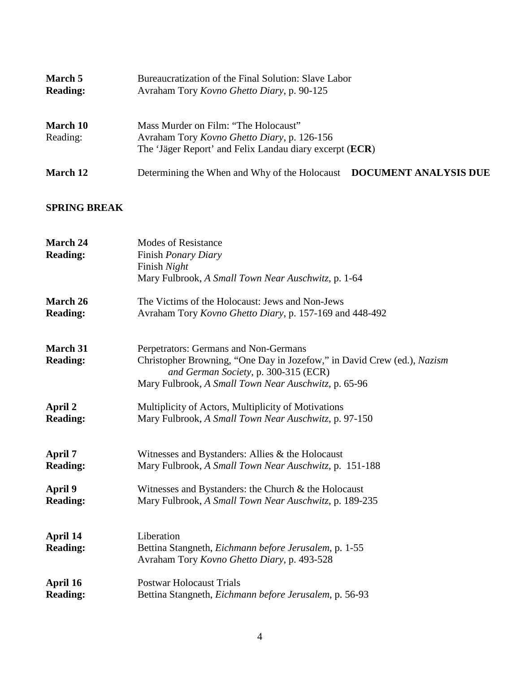| March 5<br><b>Reading:</b> | Bureaucratization of the Final Solution: Slave Labor<br>Avraham Tory Kovno Ghetto Diary, p. 90-125                                                              |  |
|----------------------------|-----------------------------------------------------------------------------------------------------------------------------------------------------------------|--|
| March 10<br>Reading:       | Mass Murder on Film: "The Holocaust"<br>Avraham Tory <i>Kovno Ghetto Diary</i> , p. 126-156<br>The 'Jäger Report' and Felix Landau diary excerpt ( <b>ECR</b> ) |  |
| March 12                   | Determining the When and Why of the Holocaust DOCUMENT ANALYSIS DUE                                                                                             |  |

## **SPRING BREAK**

| <b>March 24</b> | <b>Modes of Resistance</b>                                                                                      |
|-----------------|-----------------------------------------------------------------------------------------------------------------|
| <b>Reading:</b> | Finish Ponary Diary                                                                                             |
|                 | Finish Night                                                                                                    |
|                 | Mary Fulbrook, A Small Town Near Auschwitz, p. 1-64                                                             |
| March 26        | The Victims of the Holocaust: Jews and Non-Jews                                                                 |
| <b>Reading:</b> | Avraham Tory Kovno Ghetto Diary, p. 157-169 and 448-492                                                         |
| <b>March 31</b> | Perpetrators: Germans and Non-Germans                                                                           |
| <b>Reading:</b> | Christopher Browning, "One Day in Jozefow," in David Crew (ed.), Nazism<br>and German Society, p. 300-315 (ECR) |
|                 | Mary Fulbrook, A Small Town Near Auschwitz, p. 65-96                                                            |
| April 2         | Multiplicity of Actors, Multiplicity of Motivations                                                             |
| <b>Reading:</b> | Mary Fulbrook, A Small Town Near Auschwitz, p. 97-150                                                           |
| April 7         | Witnesses and Bystanders: Allies & the Holocaust                                                                |
| <b>Reading:</b> | Mary Fulbrook, A Small Town Near Auschwitz, p. 151-188                                                          |
| April 9         | Witnesses and Bystanders: the Church $\&$ the Holocaust                                                         |
| <b>Reading:</b> | Mary Fulbrook, A Small Town Near Auschwitz, p. 189-235                                                          |
| April 14        | Liberation                                                                                                      |
| <b>Reading:</b> | Bettina Stangneth, Eichmann before Jerusalem, p. 1-55                                                           |
|                 | Avraham Tory Kovno Ghetto Diary, p. 493-528                                                                     |
| April 16        | <b>Postwar Holocaust Trials</b>                                                                                 |
| <b>Reading:</b> | Bettina Stangneth, Eichmann before Jerusalem, p. 56-93                                                          |